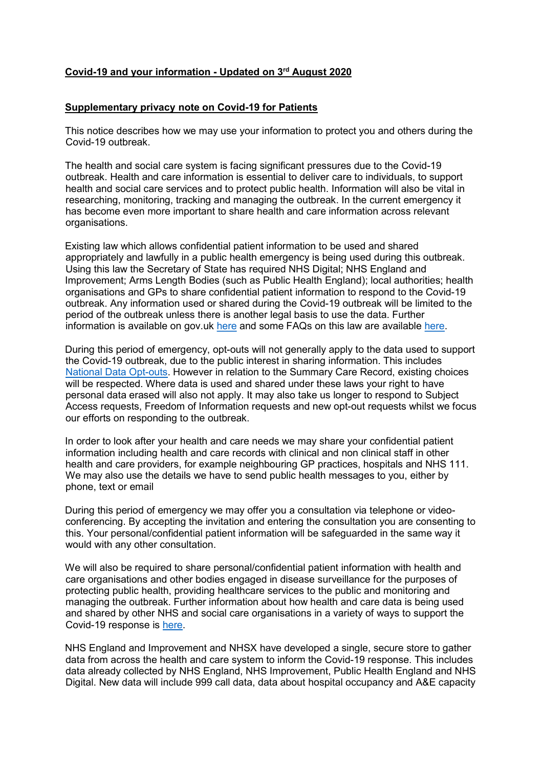## Covid-19 and your information - Updated on 3rd August 2020

## Supplementary privacy note on Covid-19 for Patients

This notice describes how we may use your information to protect you and others during the Covid-19 outbreak.

The health and social care system is facing significant pressures due to the Covid-19 outbreak. Health and care information is essential to deliver care to individuals, to support health and social care services and to protect public health. Information will also be vital in researching, monitoring, tracking and managing the outbreak. In the current emergency it has become even more important to share health and care information across relevant organisations.

Existing law which allows confidential patient information to be used and shared appropriately and lawfully in a public health emergency is being used during this outbreak. Using this law the Secretary of State has required NHS Digital; NHS England and Improvement; Arms Length Bodies (such as Public Health England); local authorities; health organisations and GPs to share confidential patient information to respond to the Covid-19 outbreak. Any information used or shared during the Covid-19 outbreak will be limited to the period of the outbreak unless there is another legal basis to use the data. Further information is available on gov.uk here and some FAQs on this law are available here.

During this period of emergency, opt-outs will not generally apply to the data used to support the Covid-19 outbreak, due to the public interest in sharing information. This includes National Data Opt-outs. However in relation to the Summary Care Record, existing choices will be respected. Where data is used and shared under these laws your right to have personal data erased will also not apply. It may also take us longer to respond to Subject Access requests, Freedom of Information requests and new opt-out requests whilst we focus our efforts on responding to the outbreak.

In order to look after your health and care needs we may share your confidential patient information including health and care records with clinical and non clinical staff in other health and care providers, for example neighbouring GP practices, hospitals and NHS 111. We may also use the details we have to send public health messages to you, either by phone, text or email

During this period of emergency we may offer you a consultation via telephone or videoconferencing. By accepting the invitation and entering the consultation you are consenting to this. Your personal/confidential patient information will be safeguarded in the same way it would with any other consultation.

We will also be required to share personal/confidential patient information with health and care organisations and other bodies engaged in disease surveillance for the purposes of protecting public health, providing healthcare services to the public and monitoring and managing the outbreak. Further information about how health and care data is being used and shared by other NHS and social care organisations in a variety of ways to support the Covid-19 response is here.

NHS England and Improvement and NHSX have developed a single, secure store to gather data from across the health and care system to inform the Covid-19 response. This includes data already collected by NHS England, NHS Improvement, Public Health England and NHS Digital. New data will include 999 call data, data about hospital occupancy and A&E capacity